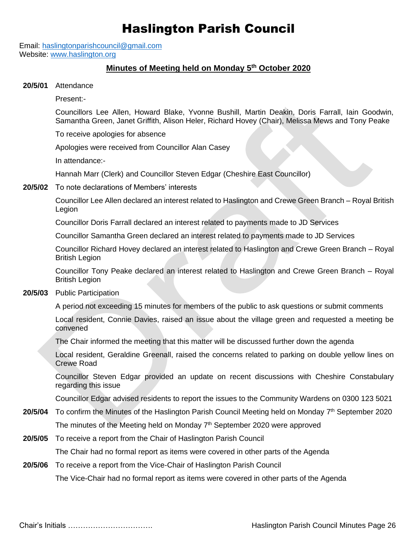## Haslington Parish Council

Email: [haslingtonparishcouncil@gmail.com](mailto:haslingtonparishcouncil@gmail.com) Website: [www.haslington.org](http://www.haslington.org/)

## **Minutes of Meeting held on Monday 5 th October 2020**

**20/5/01** Attendance

Present:-

Councillors Lee Allen, Howard Blake, Yvonne Bushill, Martin Deakin, Doris Farrall, Iain Goodwin, Samantha Green, Janet Griffith, Alison Heler, Richard Hovey (Chair), Melissa Mews and Tony Peake

To receive apologies for absence

Apologies were received from Councillor Alan Casey

In attendance:-

Hannah Marr (Clerk) and Councillor Steven Edgar (Cheshire East Councillor)

**20/5/02** To note declarations of Members' interests

Councillor Lee Allen declared an interest related to Haslington and Crewe Green Branch – Royal British Legion

Councillor Doris Farrall declared an interest related to payments made to JD Services

Councillor Samantha Green declared an interest related to payments made to JD Services

Councillor Richard Hovey declared an interest related to Haslington and Crewe Green Branch – Royal British Legion

Councillor Tony Peake declared an interest related to Haslington and Crewe Green Branch – Royal British Legion

## **20/5/03** Public Participation

A period not exceeding 15 minutes for members of the public to ask questions or submit comments

Local resident, Connie Davies, raised an issue about the village green and requested a meeting be convened

The Chair informed the meeting that this matter will be discussed further down the agenda

Local resident, Geraldine Greenall, raised the concerns related to parking on double yellow lines on Crewe Road

Councillor Steven Edgar provided an update on recent discussions with Cheshire Constabulary regarding this issue

Councillor Edgar advised residents to report the issues to the Community Wardens on 0300 123 5021

- 20/5/04 To confirm the Minutes of the Haslington Parish Council Meeting held on Monday 7<sup>th</sup> September 2020 The minutes of the Meeting held on Monday  $7<sup>th</sup>$  September 2020 were approved
- **20/5/05** To receive a report from the Chair of Haslington Parish Council

The Chair had no formal report as items were covered in other parts of the Agenda

**20/5/06** To receive a report from the Vice-Chair of Haslington Parish Council

The Vice-Chair had no formal report as items were covered in other parts of the Agenda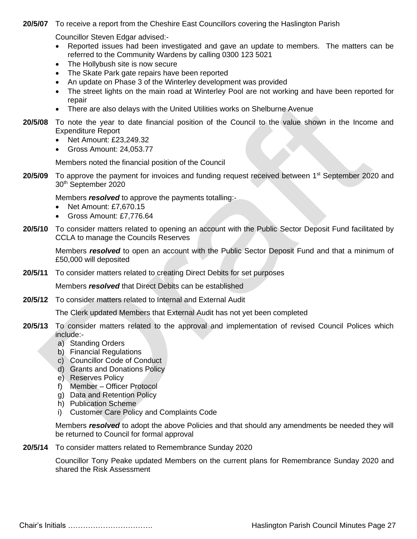**20/5/07** To receive a report from the Cheshire East Councillors covering the Haslington Parish

Councillor Steven Edgar advised:-

- Reported issues had been investigated and gave an update to members. The matters can be referred to the Community Wardens by calling 0300 123 5021
- The Hollybush site is now secure
- The Skate Park gate repairs have been reported
- An update on Phase 3 of the Winterley development was provided
- The street lights on the main road at Winterley Pool are not working and have been reported for repair
- There are also delays with the United Utilities works on Shelburne Avenue
- **20/5/08** To note the year to date financial position of the Council to the value shown in the Income and Expenditure Report
	- Net Amount: £23,249.32
	- Gross Amount: 24,053.77

Members noted the financial position of the Council

**20/5/09** To approve the payment for invoices and funding request received between 1<sup>st</sup> September 2020 and 30th September 2020

Members *resolved* to approve the payments totalling:-

- Net Amount: £7,670,15
- Gross Amount: £7,776.64
- **20/5/10** To consider matters related to opening an account with the Public Sector Deposit Fund facilitated by CCLA to manage the Councils Reserves

Members *resolved* to open an account with the Public Sector Deposit Fund and that a minimum of £50,000 will deposited

**20/5/11** To consider matters related to creating Direct Debits for set purposes

Members *resolved* that Direct Debits can be established

**20/5/12** To consider matters related to Internal and External Audit

The Clerk updated Members that External Audit has not yet been completed

- **20/5/13** To consider matters related to the approval and implementation of revised Council Polices which include:
	- a) Standing Orders
	- b) Financial Regulations
	- c) Councillor Code of Conduct
	- d) Grants and Donations Policy
	- e) Reserves Policy
	- f) Member Officer Protocol
	- g) Data and Retention Policy
	- h) Publication Scheme
	- i) Customer Care Policy and Complaints Code

Members *resolved* to adopt the above Policies and that should any amendments be needed they will be returned to Council for formal approval

**20/5/14** To consider matters related to Remembrance Sunday 2020

Councillor Tony Peake updated Members on the current plans for Remembrance Sunday 2020 and shared the Risk Assessment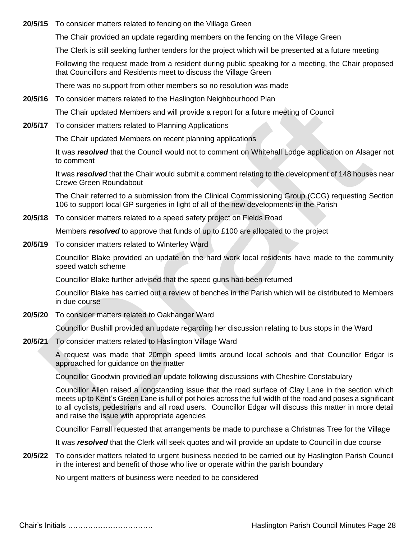**20/5/15** To consider matters related to fencing on the Village Green

The Chair provided an update regarding members on the fencing on the Village Green

The Clerk is still seeking further tenders for the project which will be presented at a future meeting

Following the request made from a resident during public speaking for a meeting, the Chair proposed that Councillors and Residents meet to discuss the Village Green

There was no support from other members so no resolution was made

**20/5/16** To consider matters related to the Haslington Neighbourhood Plan

The Chair updated Members and will provide a report for a future meeting of Council

**20/5/17** To consider matters related to Planning Applications

The Chair updated Members on recent planning applications

It was *resolved* that the Council would not to comment on Whitehall Lodge application on Alsager not to comment

It was *resolved* that the Chair would submit a comment relating to the development of 148 houses near Crewe Green Roundabout

The Chair referred to a submission from the Clinical Commissioning Group (CCG) requesting Section 106 to support local GP surgeries in light of all of the new developments in the Parish

**20/5/18** To consider matters related to a speed safety project on Fields Road

Members *resolved* to approve that funds of up to £100 are allocated to the project

**20/5/19** To consider matters related to Winterley Ward

Councillor Blake provided an update on the hard work local residents have made to the community speed watch scheme

Councillor Blake further advised that the speed guns had been returned

Councillor Blake has carried out a review of benches in the Parish which will be distributed to Members in due course

**20/5/20** To consider matters related to Oakhanger Ward

Councillor Bushill provided an update regarding her discussion relating to bus stops in the Ward

**20/5/21** To consider matters related to Haslington Village Ward

A request was made that 20mph speed limits around local schools and that Councillor Edgar is approached for guidance on the matter

Councillor Goodwin provided an update following discussions with Cheshire Constabulary

Councillor Allen raised a longstanding issue that the road surface of Clay Lane in the section which meets up to Kent's Green Lane is full of pot holes across the full width of the road and poses a significant to all cyclists, pedestrians and all road users. Councillor Edgar will discuss this matter in more detail and raise the issue with appropriate agencies

Councillor Farrall requested that arrangements be made to purchase a Christmas Tree for the Village

It was *resolved* that the Clerk will seek quotes and will provide an update to Council in due course

**20/5/22** To consider matters related to urgent business needed to be carried out by Haslington Parish Council in the interest and benefit of those who live or operate within the parish boundary

No urgent matters of business were needed to be considered